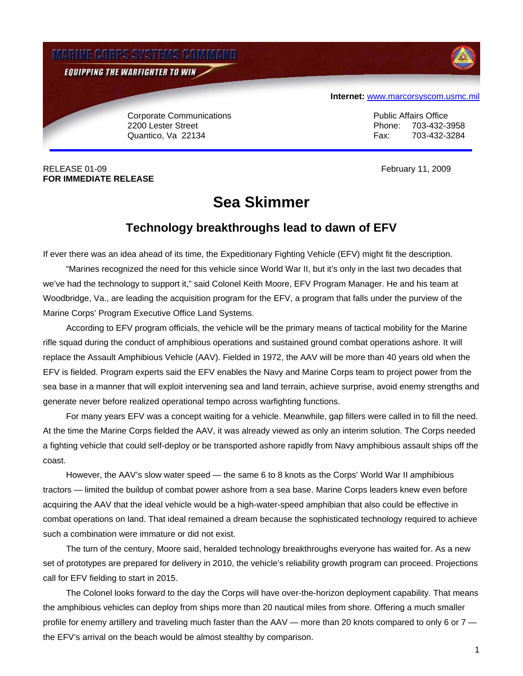

RELEASE 01-09 **February 11, 2009 FOR IMMEDIATE RELEASE** 

## **Sea Skimmer**

## **Technology breakthroughs lead to dawn of EFV**

If ever there was an idea ahead of its time, the Expeditionary Fighting Vehicle (EFV) might fit the description.

 "Marines recognized the need for this vehicle since World War II, but it's only in the last two decades that we've had the technology to support it," said Colonel Keith Moore, EFV Program Manager. He and his team at Woodbridge, Va., are leading the acquisition program for the EFV, a program that falls under the purview of the Marine Corps' Program Executive Office Land Systems.

 According to EFV program officials, the vehicle will be the primary means of tactical mobility for the Marine rifle squad during the conduct of amphibious operations and sustained ground combat operations ashore. It will replace the Assault Amphibious Vehicle (AAV). Fielded in 1972, the AAV will be more than 40 years old when the EFV is fielded. Program experts said the EFV enables the Navy and Marine Corps team to project power from the sea base in a manner that will exploit intervening sea and land terrain, achieve surprise, avoid enemy strengths and generate never before realized operational tempo across warfighting functions.

 For many years EFV was a concept waiting for a vehicle. Meanwhile, gap fillers were called in to fill the need. At the time the Marine Corps fielded the AAV, it was already viewed as only an interim solution. The Corps needed a fighting vehicle that could self-deploy or be transported ashore rapidly from Navy amphibious assault ships off the coast.

 However, the AAV's slow water speed — the same 6 to 8 knots as the Corps' World War II amphibious tractors — limited the buildup of combat power ashore from a sea base. Marine Corps leaders knew even before acquiring the AAV that the ideal vehicle would be a high-water-speed amphibian that also could be effective in combat operations on land. That ideal remained a dream because the sophisticated technology required to achieve such a combination were immature or did not exist.

 The turn of the century, Moore said, heralded technology breakthroughs everyone has waited for. As a new set of prototypes are prepared for delivery in 2010, the vehicle's reliability growth program can proceed. Projections call for EFV fielding to start in 2015.

 The Colonel looks forward to the day the Corps will have over-the-horizon deployment capability. That means the amphibious vehicles can deploy from ships more than 20 nautical miles from shore. Offering a much smaller profile for enemy artillery and traveling much faster than the AAV — more than 20 knots compared to only 6 or 7 the EFV's arrival on the beach would be almost stealthy by comparison.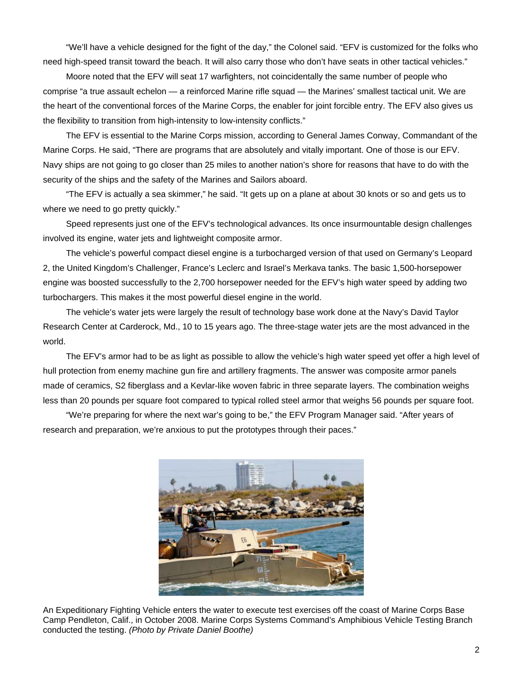"We'll have a vehicle designed for the fight of the day," the Colonel said. "EFV is customized for the folks who need high-speed transit toward the beach. It will also carry those who don't have seats in other tactical vehicles."

 Moore noted that the EFV will seat 17 warfighters, not coincidentally the same number of people who comprise "a true assault echelon — a reinforced Marine rifle squad — the Marines' smallest tactical unit. We are the heart of the conventional forces of the Marine Corps, the enabler for joint forcible entry. The EFV also gives us the flexibility to transition from high-intensity to low-intensity conflicts."

 The EFV is essential to the Marine Corps mission, according to General James Conway, Commandant of the Marine Corps. He said, "There are programs that are absolutely and vitally important. One of those is our EFV. Navy ships are not going to go closer than 25 miles to another nation's shore for reasons that have to do with the security of the ships and the safety of the Marines and Sailors aboard.

 "The EFV is actually a sea skimmer," he said. "It gets up on a plane at about 30 knots or so and gets us to where we need to go pretty quickly."

 Speed represents just one of the EFV's technological advances. Its once insurmountable design challenges involved its engine, water jets and lightweight composite armor.

 The vehicle's powerful compact diesel engine is a turbocharged version of that used on Germany's Leopard 2, the United Kingdom's Challenger, France's Leclerc and Israel's Merkava tanks. The basic 1,500-horsepower engine was boosted successfully to the 2,700 horsepower needed for the EFV's high water speed by adding two turbochargers. This makes it the most powerful diesel engine in the world.

 The vehicle's water jets were largely the result of technology base work done at the Navy's David Taylor Research Center at Carderock, Md., 10 to 15 years ago. The three-stage water jets are the most advanced in the world.

 The EFV's armor had to be as light as possible to allow the vehicle's high water speed yet offer a high level of hull protection from enemy machine gun fire and artillery fragments. The answer was composite armor panels made of ceramics, S2 fiberglass and a Kevlar-like woven fabric in three separate layers. The combination weighs less than 20 pounds per square foot compared to typical rolled steel armor that weighs 56 pounds per square foot.

 "We're preparing for where the next war's going to be," the EFV Program Manager said. "After years of research and preparation, we're anxious to put the prototypes through their paces."



An Expeditionary Fighting Vehicle enters the water to execute test exercises off the coast of Marine Corps Base Camp Pendleton, Calif., in October 2008. Marine Corps Systems Command's Amphibious Vehicle Testing Branch conducted the testing. *(Photo by Private Daniel Boothe)*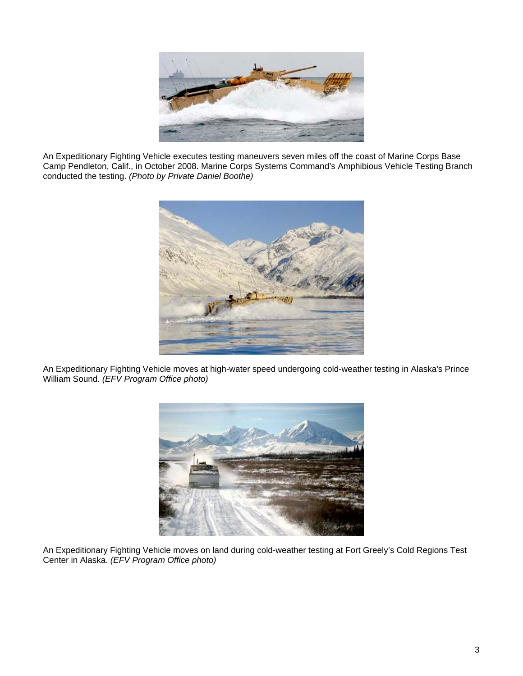

An Expeditionary Fighting Vehicle executes testing maneuvers seven miles off the coast of Marine Corps Base Camp Pendleton, Calif., in October 2008. Marine Corps Systems Command's Amphibious Vehicle Testing Branch conducted the testing. *(Photo by Private Daniel Boothe)*



An Expeditionary Fighting Vehicle moves at high-water speed undergoing cold-weather testing in Alaska's Prince William Sound. *(EFV Program Office photo)*



An Expeditionary Fighting Vehicle moves on land during cold-weather testing at Fort Greely's Cold Regions Test Center in Alaska. *(EFV Program Office photo)*